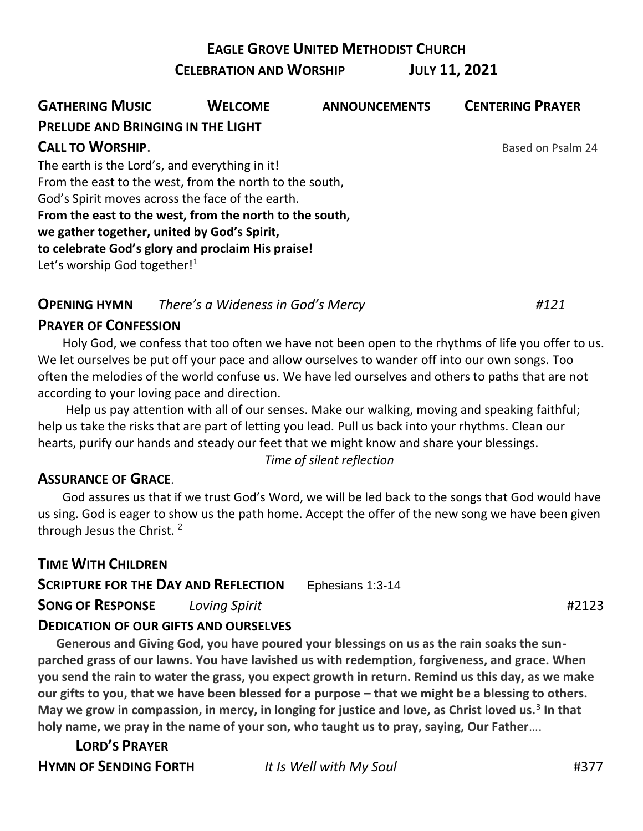**EAGLE GROVE UNITED METHODIST CHURCH** 

**CELEBRATION AND WORSHIP JULY 11, 2021**

| <b>GATHERING MUSIC</b>                                  | <b>WELCOME</b> | <b>ANNOUNCEMENTS</b> | <b>CENTERING PRAYER</b> |
|---------------------------------------------------------|----------------|----------------------|-------------------------|
| <b>PRELUDE AND BRINGING IN THE LIGHT</b>                |                |                      |                         |
| <b>CALL TO WORSHIP.</b>                                 |                |                      | Based on Psalm 24       |
| The earth is the Lord's, and everything in it!          |                |                      |                         |
| From the east to the west, from the north to the south, |                |                      |                         |
| God's Spirit moves across the face of the earth.        |                |                      |                         |
| From the east to the west, from the north to the south, |                |                      |                         |
| we gather together, united by God's Spirit,             |                |                      |                         |
| to celebrate God's glory and proclaim His praise!       |                |                      |                         |
| Let's worship God together! $1$                         |                |                      |                         |

### **OPENING HYMN** *There's a Wideness in God's Mercy #121*

#### **PRAYER OF CONFESSION**

 Holy God, we confess that too often we have not been open to the rhythms of life you offer to us. We let ourselves be put off your pace and allow ourselves to wander off into our own songs. Too often the melodies of the world confuse us. We have led ourselves and others to paths that are not according to your loving pace and direction.

 Help us pay attention with all of our senses. Make our walking, moving and speaking faithful; help us take the risks that are part of letting you lead. Pull us back into your rhythms. Clean our hearts, purify our hands and steady our feet that we might know and share your blessings. *Time of silent reflection*

### **ASSURANCE OF GRACE**.

 God assures us that if we trust God's Word, we will be led back to the songs that God would have us sing. God is eager to show us the path home. Accept the offer of the new song we have been given through Jesus the Christ.<sup>2</sup>

**TIME WITH CHILDREN SCRIPTURE FOR THE DAY AND REFLECTION** [Ephesians](https://lectionary.library.vanderbilt.edu/texts.php?id=210#epistle_reading) 1:3-14 **SONG OF RESPONSE** *Loving Spirit* #2123

### **DEDICATION OF OUR GIFTS AND OURSELVES**

 **Generous and Giving God, you have poured your blessings on us as the rain soaks the sunparched grass of our lawns. You have lavished us with redemption, forgiveness, and grace. When you send the rain to water the grass, you expect growth in return. Remind us this day, as we make our gifts to you, that we have been blessed for a purpose – that we might be a blessing to others. May we grow in compassion, in mercy, in longing for justice and love, as Christ loved us.<sup>3</sup> In that holy name, we pray in the name of your son, who taught us to pray, saying, Our Father**….

**LORD'S PRAYER HYMN OF SENDING FORTH** *It Is Well with My Soul* #377